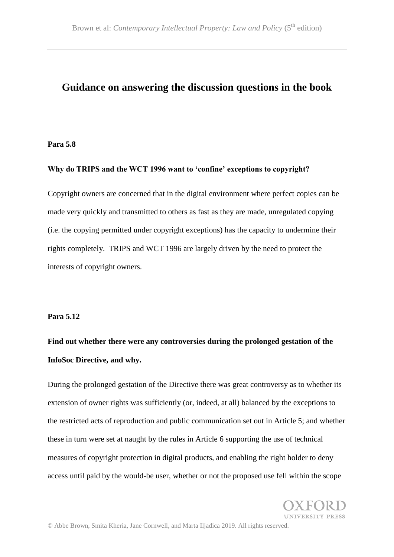### **Guidance on answering the discussion questions in the book**

#### **Para 5.8**

#### **Why do TRIPS and the WCT 1996 want to 'confine' exceptions to copyright?**

Copyright owners are concerned that in the digital environment where perfect copies can be made very quickly and transmitted to others as fast as they are made, unregulated copying (i.e. the copying permitted under copyright exceptions) has the capacity to undermine their rights completely. TRIPS and WCT 1996 are largely driven by the need to protect the interests of copyright owners.

#### **Para 5.12**

# **Find out whether there were any controversies during the prolonged gestation of the InfoSoc Directive, and why.**

During the prolonged gestation of the Directive there was great controversy as to whether its extension of owner rights was sufficiently (or, indeed, at all) balanced by the exceptions to the restricted acts of reproduction and public communication set out in Article 5; and whether these in turn were set at naught by the rules in Article 6 supporting the use of technical measures of copyright protection in digital products, and enabling the right holder to deny access until paid by the would-be user, whether or not the proposed use fell within the scope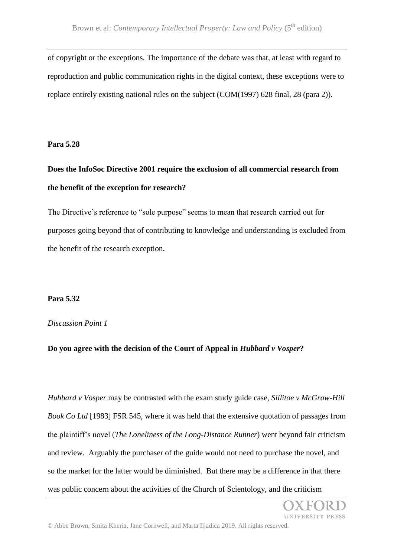of copyright or the exceptions. The importance of the debate was that, at least with regard to reproduction and public communication rights in the digital context, these exceptions were to replace entirely existing national rules on the subject (COM(1997) 628 final, 28 (para 2)).

**Para 5.28**

# **Does the InfoSoc Directive 2001 require the exclusion of all commercial research from the benefit of the exception for research?**

The Directive's reference to "sole purpose" seems to mean that research carried out for purposes going beyond that of contributing to knowledge and understanding is excluded from the benefit of the research exception.

### **Para 5.32**

### *Discussion Point 1*

### **Do you agree with the decision of the Court of Appeal in** *Hubbard v Vosper***?**

*Hubbard v Vosper* may be contrasted with the exam study guide case, *Sillitoe v McGraw-Hill Book Co Ltd* [1983] FSR 545, where it was held that the extensive quotation of passages from the plaintiff's novel (*The Loneliness of the Long-Distance Runner*) went beyond fair criticism and review. Arguably the purchaser of the guide would not need to purchase the novel, and so the market for the latter would be diminished. But there may be a difference in that there was public concern about the activities of the Church of Scientology, and the criticism

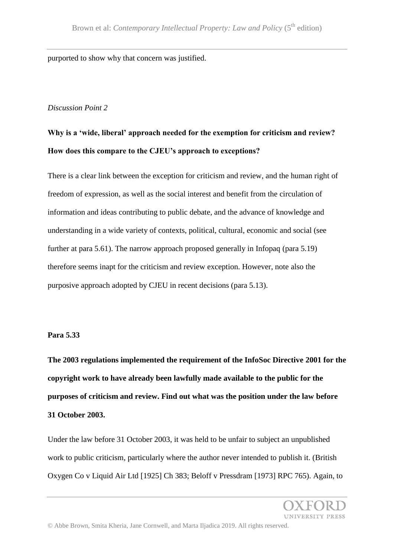purported to show why that concern was justified.

### *Discussion Point 2*

# **Why is a 'wide, liberal' approach needed for the exemption for criticism and review? How does this compare to the CJEU's approach to exceptions?**

There is a clear link between the exception for criticism and review, and the human right of freedom of expression, as well as the social interest and benefit from the circulation of information and ideas contributing to public debate, and the advance of knowledge and understanding in a wide variety of contexts, political, cultural, economic and social (see further at para 5.61). The narrow approach proposed generally in Infopaq (para 5.19) therefore seems inapt for the criticism and review exception. However, note also the purposive approach adopted by CJEU in recent decisions (para 5.13).

#### **Para 5.33**

**The 2003 regulations implemented the requirement of the InfoSoc Directive 2001 for the copyright work to have already been lawfully made available to the public for the purposes of criticism and review. Find out what was the position under the law before 31 October 2003.**

Under the law before 31 October 2003, it was held to be unfair to subject an unpublished work to public criticism, particularly where the author never intended to publish it. (British Oxygen Co v Liquid Air Ltd [1925] Ch 383; Beloff v Pressdram [1973] RPC 765). Again, to

*INIVERSITY PRESS*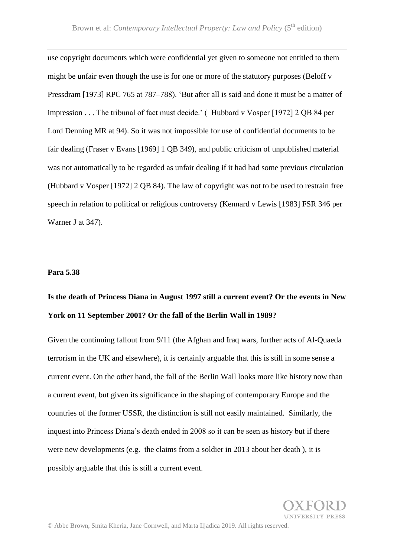use copyright documents which were confidential yet given to someone not entitled to them might be unfair even though the use is for one or more of the statutory purposes (Beloff v Pressdram [1973] RPC 765 at 787–788). 'But after all is said and done it must be a matter of impression . . . The tribunal of fact must decide.' ( Hubbard v Vosper [1972] 2 QB 84 per Lord Denning MR at 94). So it was not impossible for use of confidential documents to be fair dealing (Fraser v Evans [1969] 1 QB 349), and public criticism of unpublished material was not automatically to be regarded as unfair dealing if it had had some previous circulation (Hubbard v Vosper [1972] 2 QB 84). The law of copyright was not to be used to restrain free speech in relation to political or religious controversy (Kennard v Lewis [1983] FSR 346 per Warner J at 347).

#### **Para 5.38**

## **Is the death of Princess Diana in August 1997 still a current event? Or the events in New York on 11 September 2001? Or the fall of the Berlin Wall in 1989?**

Given the continuing fallout from 9/11 (the Afghan and Iraq wars, further acts of Al-Quaeda terrorism in the UK and elsewhere), it is certainly arguable that this is still in some sense a current event. On the other hand, the fall of the Berlin Wall looks more like history now than a current event, but given its significance in the shaping of contemporary Europe and the countries of the former USSR, the distinction is still not easily maintained. Similarly, the inquest into Princess Diana's death ended in 2008 so it can be seen as history but if there were new developments (e.g. the claims from a soldier in 2013 about her death ), it is possibly arguable that this is still a current event.

© Abbe Brown, Smita Kheria, Jane Cornwell, and Marta Iljadica 2019. All rights reserved.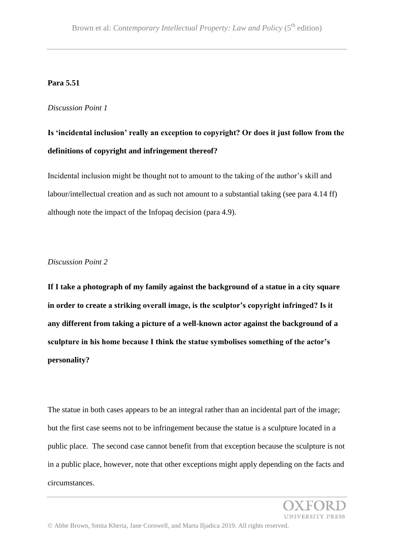#### **Para 5.51**

#### *Discussion Point 1*

## **Is 'incidental inclusion' really an exception to copyright? Or does it just follow from the definitions of copyright and infringement thereof?**

Incidental inclusion might be thought not to amount to the taking of the author's skill and labour/intellectual creation and as such not amount to a substantial taking (see para 4.14 ff) although note the impact of the Infopaq decision (para 4.9).

#### *Discussion Point 2*

**If I take a photograph of my family against the background of a statue in a city square in order to create a striking overall image, is the sculptor's copyright infringed? Is it any different from taking a picture of a well-known actor against the background of a sculpture in his home because I think the statue symbolises something of the actor's personality?**

The statue in both cases appears to be an integral rather than an incidental part of the image; but the first case seems not to be infringement because the statue is a sculpture located in a public place. The second case cannot benefit from that exception because the sculpture is not in a public place, however, note that other exceptions might apply depending on the facts and circumstances.

**UNIVERSITY PRESS**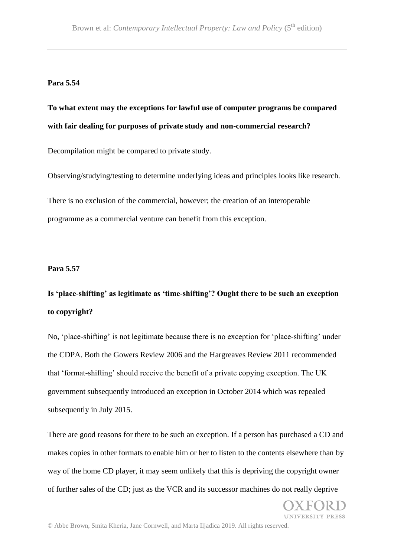#### **Para 5.54**

### **To what extent may the exceptions for lawful use of computer programs be compared with fair dealing for purposes of private study and non-commercial research?**

Decompilation might be compared to private study.

Observing/studying/testing to determine underlying ideas and principles looks like research.

There is no exclusion of the commercial, however; the creation of an interoperable programme as a commercial venture can benefit from this exception.

#### **Para 5.57**

## **Is 'place-shifting' as legitimate as 'time-shifting'? Ought there to be such an exception to copyright?**

No, 'place-shifting' is not legitimate because there is no exception for 'place-shifting' under the CDPA. Both the Gowers Review 2006 and the Hargreaves Review 2011 recommended that 'format-shifting' should receive the benefit of a private copying exception. The UK government subsequently introduced an exception in October 2014 which was repealed subsequently in July 2015.

There are good reasons for there to be such an exception. If a person has purchased a CD and makes copies in other formats to enable him or her to listen to the contents elsewhere than by way of the home CD player, it may seem unlikely that this is depriving the copyright owner of further sales of the CD; just as the VCR and its successor machines do not really deprive

UNIVERSITY PRESS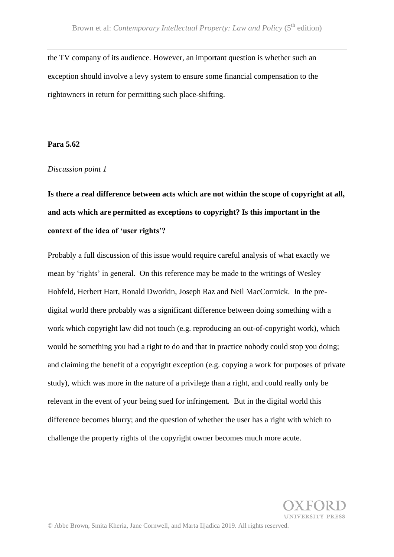the TV company of its audience. However, an important question is whether such an exception should involve a levy system to ensure some financial compensation to the rightowners in return for permitting such place-shifting.

#### **Para 5.62**

#### *Discussion point 1*

**Is there a real difference between acts which are not within the scope of copyright at all, and acts which are permitted as exceptions to copyright? Is this important in the context of the idea of 'user rights'?** 

Probably a full discussion of this issue would require careful analysis of what exactly we mean by 'rights' in general. On this reference may be made to the writings of Wesley Hohfeld, Herbert Hart, Ronald Dworkin, Joseph Raz and Neil MacCormick. In the predigital world there probably was a significant difference between doing something with a work which copyright law did not touch (e.g. reproducing an out-of-copyright work), which would be something you had a right to do and that in practice nobody could stop you doing; and claiming the benefit of a copyright exception (e.g. copying a work for purposes of private study), which was more in the nature of a privilege than a right, and could really only be relevant in the event of your being sued for infringement. But in the digital world this difference becomes blurry; and the question of whether the user has a right with which to challenge the property rights of the copyright owner becomes much more acute.